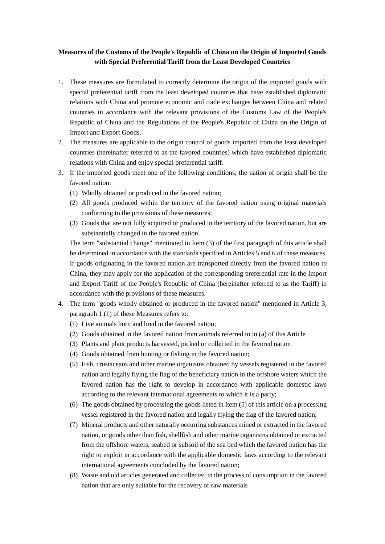## **Measures of the Customs of the People's Republic of China on the Origin of Imported Goods with Special Preferential Tariff from the Least Developed Countries**

- 1. These measures are formulated to correctly determine the origin of the imported goods with special preferential tariff from the least developed countries that have established diplomatic relations with China and promote economic and trade exchanges between China and related countries in accordance with the relevant provisions of the Customs Law of the People's Republic of China and the Regulations of the People's Republic of China on the Origin of Import and Export Goods.
- 2. The measures are applicable to the origin control of goods imported from the least developed countries (hereinafter referred to as the favored countries) which have established diplomatic relations with China and enjoy special preferential tariff.
- 3. If the imported goods meet one of the following conditions, the nation of origin shall be the favored nation:
	- (1) Wholly obtained or produced in the favored nation;
	- (2) All goods produced within the territory of the favored nation using original materials conforming to the provisions of these measures;
	- (3) Goods that are not fully acquired or produced in the territory of the favored nation, but are substantially changed in the favored nation.

The term "substantial change" mentioned in Item (3) of the first paragraph of this article shall be determined in accordance with the standards specified in Articles 5 and 6 of these measures. If goods originating in the favored nation are transported directly from the favored nation to China, they may apply for the application of the corresponding preferential rate in the Import and Export Tariff of the People's Republic of China (hereinafter referred to as the Tariff) in accordance with the provisions of these measures.

- 4. The term "goods wholly obtained or produced in the favored nation" mentioned in Article 3, paragraph 1 (1) of these Measures refers to:
	- (1) Live animals born and bred in the favored nation;
	- (2) Goods obtained in the favored nation from animals referred to in (a) of this Article
	- (3) Plants and plant products harvested, picked or collected in the favored nation
	- (4) Goods obtained from hunting or fishing in the favored nation;
	- (5) Fish, crustaceans and other marine organisms obtained by vessels registered in the favored nation and legally flying the flag of the beneficiary nation in the offshore waters which the favored nation has the right to develop in accordance with applicable domestic laws according to the relevant international agreements to which it is a party;
	- (6) The goods obtained by processing the goods listed in Item (5) of this article on a processing vessel registered in the favored nation and legally flying the flag of the favored nation;
	- (7) Mineral products and other naturally occurring substances mined or extracted in the favored nation, or goods other than fish, shellfish and other marine organisms obtained or extracted from the offshore waters, seabed or subsoil of the sea bed which the favored nation has the right to exploit in accordance with the applicable domestic laws according to the relevant international agreements concluded by the favored nation;
	- (8) Waste and old articles generated and collected in the process of consumption in the favored nation that are only suitable for the recovery of raw materials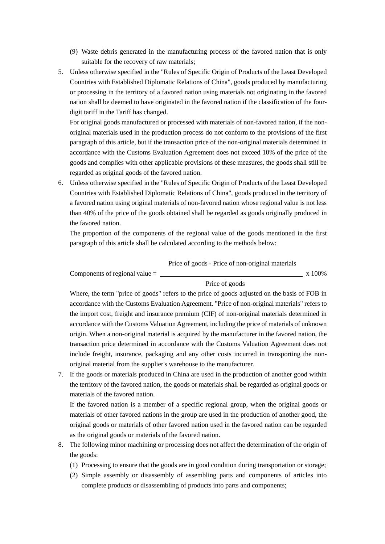- (9) Waste debris generated in the manufacturing process of the favored nation that is only suitable for the recovery of raw materials;
- 5. Unless otherwise specified in the "Rules of Specific Origin of Products of the Least Developed Countries with Established Diplomatic Relations of China", goods produced by manufacturing or processing in the territory of a favored nation using materials not originating in the favored nation shall be deemed to have originated in the favored nation if the classification of the fourdigit tariff in the Tariff has changed.

For original goods manufactured or processed with materials of non-favored nation, if the nonoriginal materials used in the production process do not conform to the provisions of the first paragraph of this article, but if the transaction price of the non-original materials determined in accordance with the Customs Evaluation Agreement does not exceed 10% of the price of the goods and complies with other applicable provisions of these measures, the goods shall still be regarded as original goods of the favored nation.

6. Unless otherwise specified in the "Rules of Specific Origin of Products of the Least Developed Countries with Established Diplomatic Relations of China", goods produced in the territory of a favored nation using original materials of non-favored nation whose regional value is not less than 40% of the price of the goods obtained shall be regarded as goods originally produced in the favored nation.

The proportion of the components of the regional value of the goods mentioned in the first paragraph of this article shall be calculated according to the methods below:

Price of goods - Price of non-original materials

Components of regional value  $=$  x 100%

Price of goods

Where, the term "price of goods" refers to the price of goods adjusted on the basis of FOB in accordance with the Customs Evaluation Agreement. "Price of non-original materials" refers to the import cost, freight and insurance premium (CIF) of non-original materials determined in accordance with the Customs Valuation Agreement, including the price of materials of unknown origin. When a non-original material is acquired by the manufacturer in the favored nation, the transaction price determined in accordance with the Customs Valuation Agreement does not include freight, insurance, packaging and any other costs incurred in transporting the nonoriginal material from the supplier's warehouse to the manufacturer.

7. If the goods or materials produced in China are used in the production of another good within the territory of the favored nation, the goods or materials shall be regarded as original goods or materials of the favored nation.

If the favored nation is a member of a specific regional group, when the original goods or materials of other favored nations in the group are used in the production of another good, the original goods or materials of other favored nation used in the favored nation can be regarded as the original goods or materials of the favored nation.

- 8. The following minor machining or processing does not affect the determination of the origin of the goods:
	- (1) Processing to ensure that the goods are in good condition during transportation or storage;
	- (2) Simple assembly or disassembly of assembling parts and components of articles into complete products or disassembling of products into parts and components;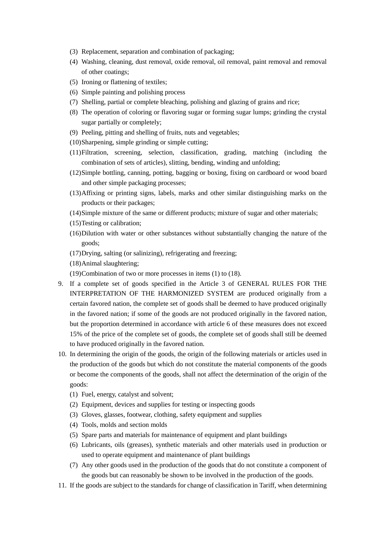- (3) Replacement, separation and combination of packaging;
- (4) Washing, cleaning, dust removal, oxide removal, oil removal, paint removal and removal of other coatings;
- (5) Ironing or flattening of textiles;
- (6) Simple painting and polishing process
- (7) Shelling, partial or complete bleaching, polishing and glazing of grains and rice;
- (8) The operation of coloring or flavoring sugar or forming sugar lumps; grinding the crystal sugar partially or completely;
- (9) Peeling, pitting and shelling of fruits, nuts and vegetables;
- (10)Sharpening, simple grinding or simple cutting;
- (11)Filtration, screening, selection, classification, grading, matching (including the combination of sets of articles), slitting, bending, winding and unfolding;
- (12)Simple bottling, canning, potting, bagging or boxing, fixing on cardboard or wood board and other simple packaging processes;
- (13)Affixing or printing signs, labels, marks and other similar distinguishing marks on the products or their packages;
- (14)Simple mixture of the same or different products; mixture of sugar and other materials;
- (15)Testing or calibration;
- (16)Dilution with water or other substances without substantially changing the nature of the goods;
- (17)Drying, salting (or salinizing), refrigerating and freezing;
- (18)Animal slaughtering;
- (19)Combination of two or more processes in items (1) to (18).
- 9. If a complete set of goods specified in the Article 3 of GENERAL RULES FOR THE INTERPRETATION OF THE HARMONIZED SYSTEM are produced originally from a certain favored nation, the complete set of goods shall be deemed to have produced originally in the favored nation; if some of the goods are not produced originally in the favored nation, but the proportion determined in accordance with article 6 of these measures does not exceed 15% of the price of the complete set of goods, the complete set of goods shall still be deemed to have produced originally in the favored nation.
- 10. In determining the origin of the goods, the origin of the following materials or articles used in the production of the goods but which do not constitute the material components of the goods or become the components of the goods, shall not affect the determination of the origin of the goods:
	- (1) Fuel, energy, catalyst and solvent;
	- (2) Equipment, devices and supplies for testing or inspecting goods
	- (3) Gloves, glasses, footwear, clothing, safety equipment and supplies
	- (4) Tools, molds and section molds
	- (5) Spare parts and materials for maintenance of equipment and plant buildings
	- (6) Lubricants, oils (greases), synthetic materials and other materials used in production or used to operate equipment and maintenance of plant buildings
	- (7) Any other goods used in the production of the goods that do not constitute a component of the goods but can reasonably be shown to be involved in the production of the goods.
- 11. If the goods are subject to the standards for change of classification in Tariff, when determining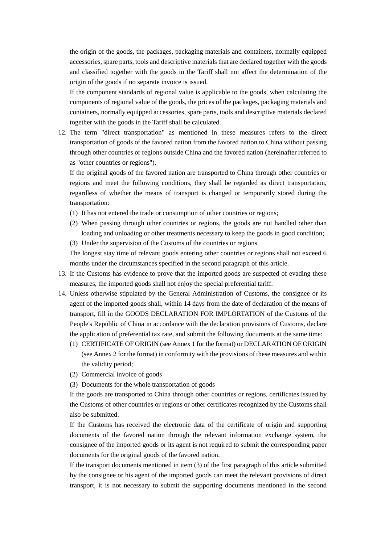the origin of the goods, the packages, packaging materials and containers, normally equipped accessories, spare parts, tools and descriptive materials that are declared together with the goods and classified together with the goods in the Tariff shall not affect the determination of the origin of the goods if no separate invoice is issued.

If the component standards of regional value is applicable to the goods, when calculating the components of regional value of the goods, the prices of the packages, packaging materials and containers, normally equipped accessories, spare parts, tools and descriptive materials declared together with the goods in the Tariff shall be calculated.

12. The term "direct transportation" as mentioned in these measures refers to the direct transportation of goods of the favored nation from the favored nation to China without passing through other countries or regions outside China and the favored nation (hereinafter referred to as "other countries or regions").

If the original goods of the favored nation are transported to China through other countries or regions and meet the following conditions, they shall be regarded as direct transportation, regardless of whether the means of transport is changed or temporarily stored during the transportation:

- (1) It has not entered the trade or consumption of other countries or regions;
- (2) When passing through other countries or regions, the goods are not handled other than loading and unloading or other treatments necessary to keep the goods in good condition;
- (3) Under the supervision of the Customs of the countries or regions

The longest stay time of relevant goods entering other countries or regions shall not exceed 6 months under the circumstances specified in the second paragraph of this article.

- 13. If the Customs has evidence to prove that the imported goods are suspected of evading these measures, the imported goods shall not enjoy the special preferential tariff.
- 14. Unless otherwise stipulated by the General Administration of Customs, the consignee or its agent of the imported goods shall, within 14 days from the date of declaration of the means of transport, fill in the GOODS DECLARATION FOR IMPLORTATION of the Customs of the People's Republic of China in accordance with the declaration provisions of Customs, declare the application of preferential tax rate, and submit the following documents at the same time:
	- (1) CERTIFICATE OF ORIGIN (see Annex 1 for the format) or DECLARATION OF ORIGIN (see Annex 2 for the format) in conformity with the provisions of these measures and within the validity period;
	- (2) Commercial invoice of goods
	- (3) Documents for the whole transportation of goods

If the goods are transported to China through other countries or regions, certificates issued by the Customs of other countries or regions or other certificates recognized by the Customs shall also be submitted.

If the Customs has received the electronic data of the certificate of origin and supporting documents of the favored nation through the relevant information exchange system, the consignee of the imported goods or its agent is not required to submit the corresponding paper documents for the original goods of the favored nation.

If the transport documents mentioned in item (3) of the first paragraph of this article submitted by the consignee or his agent of the imported goods can meet the relevant provisions of direct transport, it is not necessary to submit the supporting documents mentioned in the second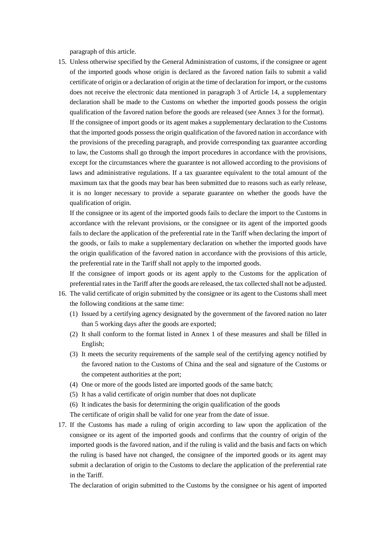paragraph of this article.

15. Unless otherwise specified by the General Administration of customs, if the consignee or agent of the imported goods whose origin is declared as the favored nation fails to submit a valid certificate of origin or a declaration of origin at the time of declaration for import, or the customs does not receive the electronic data mentioned in paragraph 3 of Article 14, a supplementary declaration shall be made to the Customs on whether the imported goods possess the origin qualification of the favored nation before the goods are released (see Annex 3 for the format). If the consignee of import goods or its agent makes a supplementary declaration to the Customs that the imported goods possess the origin qualification of the favored nation in accordance with the provisions of the preceding paragraph, and provide corresponding tax guarantee according to law, the Customs shall go through the import procedures in accordance with the provisions, except for the circumstances where the guarantee is not allowed according to the provisions of laws and administrative regulations. If a tax guarantee equivalent to the total amount of the maximum tax that the goods may bear has been submitted due to reasons such as early release, it is no longer necessary to provide a separate guarantee on whether the goods have the qualification of origin.

If the consignee or its agent of the imported goods fails to declare the import to the Customs in accordance with the relevant provisions, or the consignee or its agent of the imported goods fails to declare the application of the preferential rate in the Tariff when declaring the import of the goods, or fails to make a supplementary declaration on whether the imported goods have the origin qualification of the favored nation in accordance with the provisions of this article, the preferential rate in the Tariff shall not apply to the imported goods.

If the consignee of import goods or its agent apply to the Customs for the application of preferential rates in the Tariff after the goods are released, the tax collected shall not be adjusted.

- 16. The valid certificate of origin submitted by the consignee or its agent to the Customs shall meet the following conditions at the same time:
	- (1) Issued by a certifying agency designated by the government of the favored nation no later than 5 working days after the goods are exported;
	- (2) It shall conform to the format listed in Annex 1 of these measures and shall be filled in English;
	- (3) It meets the security requirements of the sample seal of the certifying agency notified by the favored nation to the Customs of China and the seal and signature of the Customs or the competent authorities at the port;
	- (4) One or more of the goods listed are imported goods of the same batch;
	- (5) It has a valid certificate of origin number that does not duplicate
	- (6) It indicates the basis for determining the origin qualification of the goods
	- The certificate of origin shall be valid for one year from the date of issue.
- 17. If the Customs has made a ruling of origin according to law upon the application of the consignee or its agent of the imported goods and confirms that the country of origin of the imported goods is the favored nation, and if the ruling is valid and the basis and facts on which the ruling is based have not changed, the consignee of the imported goods or its agent may submit a declaration of origin to the Customs to declare the application of the preferential rate in the Tariff.

The declaration of origin submitted to the Customs by the consignee or his agent of imported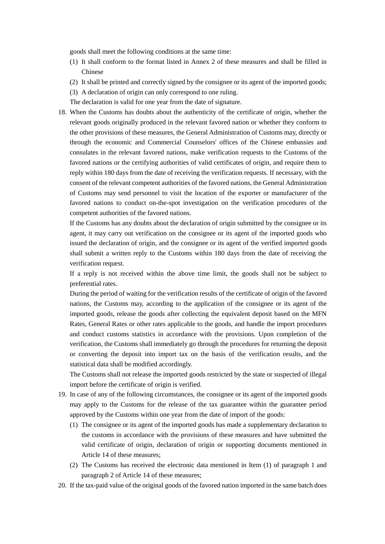goods shall meet the following conditions at the same time:

- (1) It shall conform to the format listed in Annex 2 of these measures and shall be filled in Chinese
- (2) It shall be printed and correctly signed by the consignee or its agent of the imported goods;
- (3) A declaration of origin can only correspond to one ruling.

The declaration is valid for one year from the date of signature.

18. When the Customs has doubts about the authenticity of the certificate of origin, whether the relevant goods originally produced in the relevant favored nation or whether they conform to the other provisions of these measures, the General Administration of Customs may, directly or through the economic and Commercial Counselors' offices of the Chinese embassies and consulates in the relevant favored nations, make verification requests to the Customs of the favored nations or the certifying authorities of valid certificates of origin, and require them to reply within 180 days from the date of receiving the verification requests. If necessary, with the consent of the relevant competent authorities of the favored nations, the General Administration of Customs may send personnel to visit the location of the exporter or manufacturer of the favored nations to conduct on-the-spot investigation on the verification procedures of the competent authorities of the favored nations.

If the Customs has any doubts about the declaration of origin submitted by the consignee or its agent, it may carry out verification on the consignee or its agent of the imported goods who issued the declaration of origin, and the consignee or its agent of the verified imported goods shall submit a written reply to the Customs within 180 days from the date of receiving the verification request.

If a reply is not received within the above time limit, the goods shall not be subject to preferential rates.

During the period of waiting for the verification results of the certificate of origin of the favored nations, the Customs may, according to the application of the consignee or its agent of the imported goods, release the goods after collecting the equivalent deposit based on the MFN Rates, General Rates or other rates applicable to the goods, and handle the import procedures and conduct customs statistics in accordance with the provisions. Upon completion of the verification, the Customs shall immediately go through the procedures for returning the deposit or converting the deposit into import tax on the basis of the verification results, and the statistical data shall be modified accordingly.

The Customs shall not release the imported goods restricted by the state or suspected of illegal import before the certificate of origin is verified.

- 19. In case of any of the following circumstances, the consignee or its agent of the imported goods may apply to the Customs for the release of the tax guarantee within the guarantee period approved by the Customs within one year from the date of import of the goods:
	- (1) The consignee or its agent of the imported goods has made a supplementary declaration to the customs in accordance with the provisions of these measures and have submitted the valid certificate of origin, declaration of origin or supporting documents mentioned in Article 14 of these measures;
	- (2) The Customs has received the electronic data mentioned in Item (1) of paragraph 1 and paragraph 2 of Article 14 of these measures;
- 20. If the tax-paid value of the original goods of the favored nation imported in the same batch does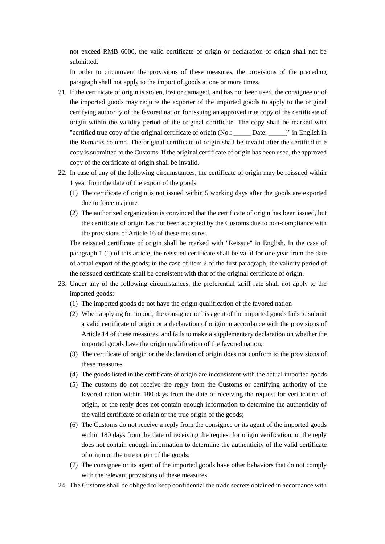not exceed RMB 6000, the valid certificate of origin or declaration of origin shall not be submitted.

In order to circumvent the provisions of these measures, the provisions of the preceding paragraph shall not apply to the import of goods at one or more times.

- 21. If the certificate of origin is stolen, lost or damaged, and has not been used, the consignee or of the imported goods may require the exporter of the imported goods to apply to the original certifying authority of the favored nation for issuing an approved true copy of the certificate of origin within the validity period of the original certificate. The copy shall be marked with "certified true copy of the original certificate of origin (No.: \_\_\_\_\_ Date: \_\_\_\_\_)" in English in the Remarks column. The original certificate of origin shall be invalid after the certified true copy is submitted to the Customs. If the original certificate of origin has been used, the approved copy of the certificate of origin shall be invalid.
- 22. In case of any of the following circumstances, the certificate of origin may be reissued within 1 year from the date of the export of the goods.
	- (1) The certificate of origin is not issued within 5 working days after the goods are exported due to force majeure
	- (2) The authorized organization is convinced that the certificate of origin has been issued, but the certificate of origin has not been accepted by the Customs due to non-compliance with the provisions of Article 16 of these measures.

The reissued certificate of origin shall be marked with "Reissue" in English. In the case of paragraph 1 (1) of this article, the reissued certificate shall be valid for one year from the date of actual export of the goods; in the case of item 2 of the first paragraph, the validity period of the reissued certificate shall be consistent with that of the original certificate of origin.

- 23. Under any of the following circumstances, the preferential tariff rate shall not apply to the imported goods:
	- (1) The imported goods do not have the origin qualification of the favored nation
	- (2) When applying for import, the consignee or his agent of the imported goods fails to submit a valid certificate of origin or a declaration of origin in accordance with the provisions of Article 14 of these measures, and fails to make a supplementary declaration on whether the imported goods have the origin qualification of the favored nation;
	- (3) The certificate of origin or the declaration of origin does not conform to the provisions of these measures
	- (4) The goods listed in the certificate of origin are inconsistent with the actual imported goods
	- (5) The customs do not receive the reply from the Customs or certifying authority of the favored nation within 180 days from the date of receiving the request for verification of origin, or the reply does not contain enough information to determine the authenticity of the valid certificate of origin or the true origin of the goods;
	- (6) The Customs do not receive a reply from the consignee or its agent of the imported goods within 180 days from the date of receiving the request for origin verification, or the reply does not contain enough information to determine the authenticity of the valid certificate of origin or the true origin of the goods;
	- (7) The consignee or its agent of the imported goods have other behaviors that do not comply with the relevant provisions of these measures.
- 24. The Customs shall be obliged to keep confidential the trade secrets obtained in accordance with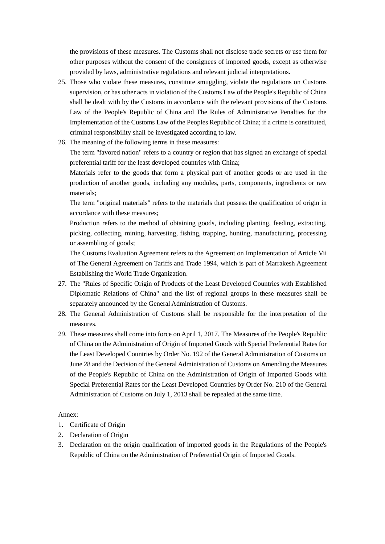the provisions of these measures. The Customs shall not disclose trade secrets or use them for other purposes without the consent of the consignees of imported goods, except as otherwise provided by laws, administrative regulations and relevant judicial interpretations.

- 25. Those who violate these measures, constitute smuggling, violate the regulations on Customs supervision, or has other acts in violation of the Customs Law of the People's Republic of China shall be dealt with by the Customs in accordance with the relevant provisions of the Customs Law of the People's Republic of China and The Rules of Administrative Penalties for the Implementation of the Customs Law of the Peoples Republic of China; if a crime is constituted, criminal responsibility shall be investigated according to law.
- 26. The meaning of the following terms in these measures:

The term "favored nation" refers to a country or region that has signed an exchange of special preferential tariff for the least developed countries with China;

Materials refer to the goods that form a physical part of another goods or are used in the production of another goods, including any modules, parts, components, ingredients or raw materials;

The term "original materials" refers to the materials that possess the qualification of origin in accordance with these measures;

Production refers to the method of obtaining goods, including planting, feeding, extracting, picking, collecting, mining, harvesting, fishing, trapping, hunting, manufacturing, processing or assembling of goods;

The Customs Evaluation Agreement refers to the Agreement on Implementation of Article Vii of The General Agreement on Tariffs and Trade 1994, which is part of Marrakesh Agreement Establishing the World Trade Organization.

- 27. The "Rules of Specific Origin of Products of the Least Developed Countries with Established Diplomatic Relations of China" and the list of regional groups in these measures shall be separately announced by the General Administration of Customs.
- 28. The General Administration of Customs shall be responsible for the interpretation of the measures.
- 29. These measures shall come into force on April 1, 2017. The Measures of the People's Republic of China on the Administration of Origin of Imported Goods with Special Preferential Rates for the Least Developed Countries by Order No. 192 of the General Administration of Customs on June 28 and the Decision of the General Administration of Customs on Amending the Measures of the People's Republic of China on the Administration of Origin of Imported Goods with Special Preferential Rates for the Least Developed Countries by Order No. 210 of the General Administration of Customs on July 1, 2013 shall be repealed at the same time.

## Annex:

- 1. Certificate of Origin
- 2. Declaration of Origin
- 3. Declaration on the origin qualification of imported goods in the Regulations of the People's Republic of China on the Administration of Preferential Origin of Imported Goods.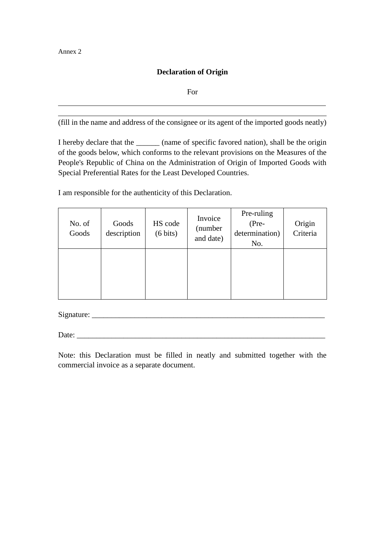Annex 2

 $\overline{a}$  $\overline{a}$ 

## **Declaration of Origin**

For

(fill in the name and address of the consignee or its agent of the imported goods neatly)

I hereby declare that the  $\qquad \qquad$  (name of specific favored nation), shall be the origin of the goods below, which conforms to the relevant provisions on the Measures of the People's Republic of China on the Administration of Origin of Imported Goods with Special Preferential Rates for the Least Developed Countries.

I am responsible for the authenticity of this Declaration.

| No. of<br>Goods | Goods<br>description | HS code<br>$(6 \text{ bits})$ | Invoice<br>(number<br>and date) | Pre-ruling<br>(Pre-<br>determination)<br>No. | Origin<br>Criteria |
|-----------------|----------------------|-------------------------------|---------------------------------|----------------------------------------------|--------------------|
|                 |                      |                               |                                 |                                              |                    |

Signature:

Date:

Note: this Declaration must be filled in neatly and submitted together with the commercial invoice as a separate document.